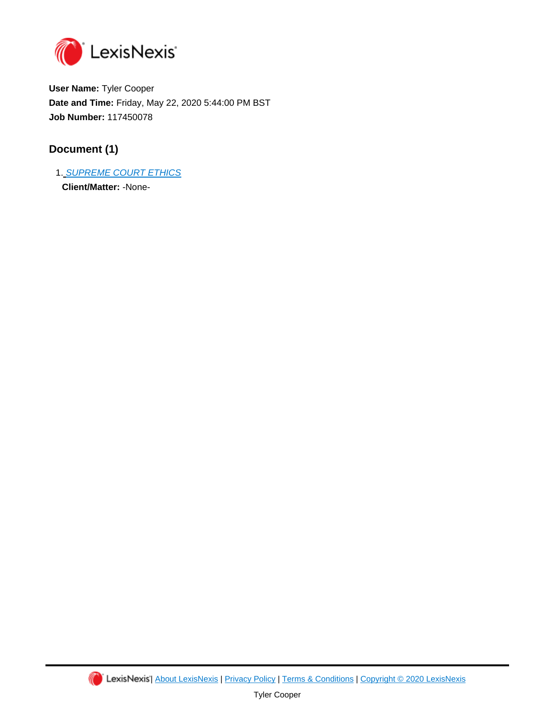

**User Name:** Tyler Cooper **Date and Time:** Friday, May 22, 2020 5:44:00 PM BST **Job Number:** 117450078

## **Document (1)**

1. [SUPREME COURT ETHICS](https://advance.lexis.com/api/document?id=urn:contentItem:555C-6PX1-DYTH-G12W-00000-00&idtype=PID&context=1000516) **Client/Matter:** -None-

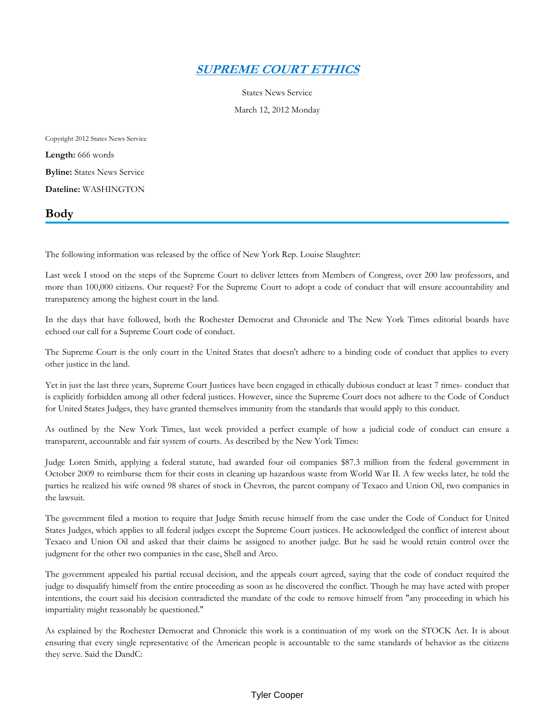## *[SUPREME COURT ETHICS](https://advance.lexis.com/api/document?collection=news&id=urn:contentItem:555C-6PX1-DYTH-G12W-00000-00&context=)*

States News Service

March 12, 2012 Monday

Copyright 2012 States News Service **Length:** 666 words **Byline:** States News Service **Dateline:** WASHINGTON

## **Body**

The following information was released by the office of New York Rep. Louise Slaughter:

Last week I stood on the steps of the Supreme Court to deliver letters from Members of Congress, over 200 law professors, and more than 100,000 citizens. Our request? For the Supreme Court to adopt a code of conduct that will ensure accountability and transparency among the highest court in the land.

In the days that have followed, both the Rochester Democrat and Chronicle and The New York Times editorial boards have echoed our call for a Supreme Court code of conduct.

The Supreme Court is the only court in the United States that doesn't adhere to a binding code of conduct that applies to every other justice in the land.

Yet in just the last three years, Supreme Court Justices have been engaged in ethically dubious conduct at least 7 times- conduct that is explicitly forbidden among all other federal justices. However, since the Supreme Court does not adhere to the Code of Conduct for United States Judges, they have granted themselves immunity from the standards that would apply to this conduct.

As outlined by the New York Times, last week provided a perfect example of how a judicial code of conduct can ensure a transparent, accountable and fair system of courts. As described by the New York Times:

Judge Loren Smith, applying a federal statute, had awarded four oil companies \$87.3 million from the federal government in October 2009 to reimburse them for their costs in cleaning up hazardous waste from World War II. A few weeks later, he told the parties he realized his wife owned 98 shares of stock in Chevron, the parent company of Texaco and Union Oil, two companies in the lawsuit.

The government filed a motion to require that Judge Smith recuse himself from the case under the Code of Conduct for United States Judges, which applies to all federal judges except the Supreme Court justices. He acknowledged the conflict of interest about Texaco and Union Oil and asked that their claims be assigned to another judge. But he said he would retain control over the judgment for the other two companies in the case, Shell and Arco.

The government appealed his partial recusal decision, and the appeals court agreed, saying that the code of conduct required the judge to disqualify himself from the entire proceeding as soon as he discovered the conflict. Though he may have acted with proper intentions, the court said his decision contradicted the mandate of the code to remove himself from "any proceeding in which his impartiality might reasonably be questioned."

As explained by the Rochester Democrat and Chronicle this work is a continuation of my work on the STOCK Act. It is about ensuring that every single representative of the American people is accountable to the same standards of behavior as the citizens they serve. Said the DandC: